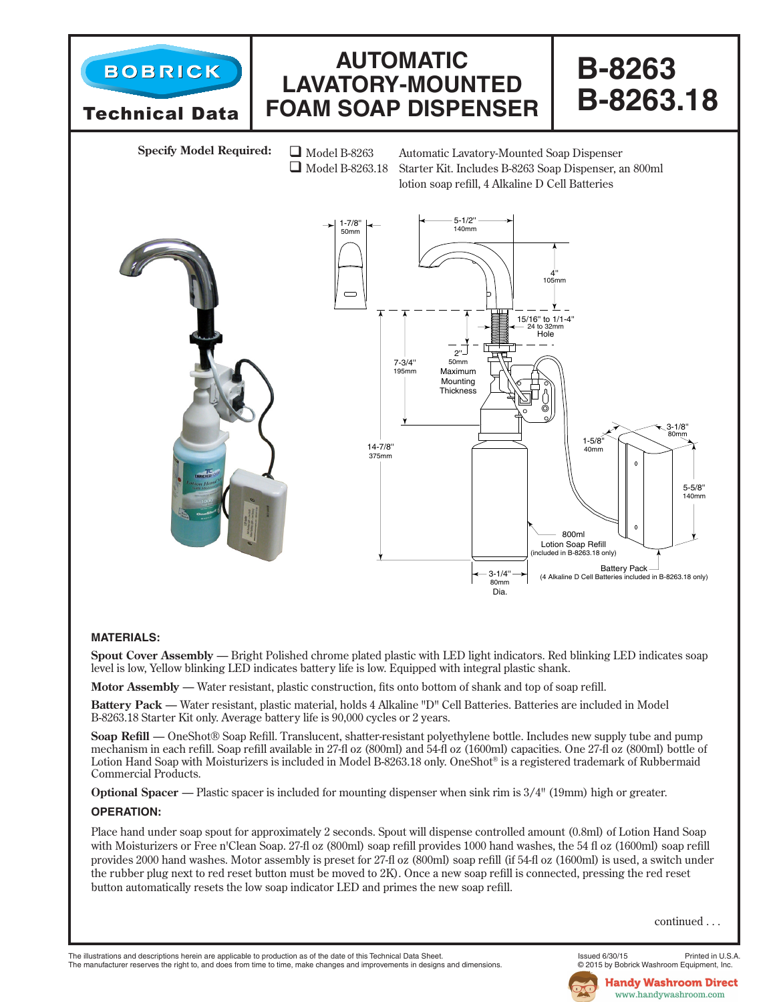

## **MATERIALS:**

**Spout Cover Assembly** — Bright Polished chrome plated plastic with LED light indicators. Red blinking LED indicates soap level is low, Yellow blinking LED indicates battery life is low. Equipped with integral plastic shank.

**Motor Assembly** — Water resistant, plastic construction, fits onto bottom of shank and top of soap refill.

**Battery Pack** — Water resistant, plastic material, holds 4 Alkaline "D" Cell Batteries. Batteries are included in Model B-8263.18 Starter Kit only. Average battery life is 90,000 cycles or 2 years.

**Soap Refill** — OneShot® Soap Refill. Translucent, shatter-resistant polyethylene bottle. Includes new supply tube and pump mechanism in each refill. Soap refill available in 27-fl oz (800ml) and 54-fl oz (1600ml) capacities. One 27-fl oz (800ml) bottle of Lotion Hand Soap with Moisturizers is included in Model B-8263.18 only. OneShot<sup>®</sup> is a registered trademark of Rubbermaid Commercial Products.

**Optional Spacer** — Plastic spacer is included for mounting dispenser when sink rim is  $3/4$ " (19mm) high or greater.

## **OPERATION:**

Place hand under soap spout for approximately 2 seconds. Spout will dispense controlled amount (0.8ml) of Lotion Hand Soap with Moisturizers or Free n'Clean Soap. 27-fl oz (800ml) soap refill provides 1000 hand washes, the 54 fl oz (1600ml) soap refill provides 2000 hand washes. Motor assembly is preset for 27-fl oz (800ml) soap refill (if 54-fl oz (1600ml) is used, a switch under the rubber plug next to red reset button must be moved to 2K). Once a new soap refill is connected, pressing the red reset button automatically resets the low soap indicator LED and primes the new soap refill.

continued . . .

The illustrations and descriptions herein are applicable to production as of the date of this Technical Data Sheet.<br>The manufacturer reserves the right to, and does from time to time, make changes and improvements in desig The manufacturer reserves the right to, and does from time to time, make changes and improvements in designs and dimensions.

**Handy Washroom Direct** www.handywashroom.com